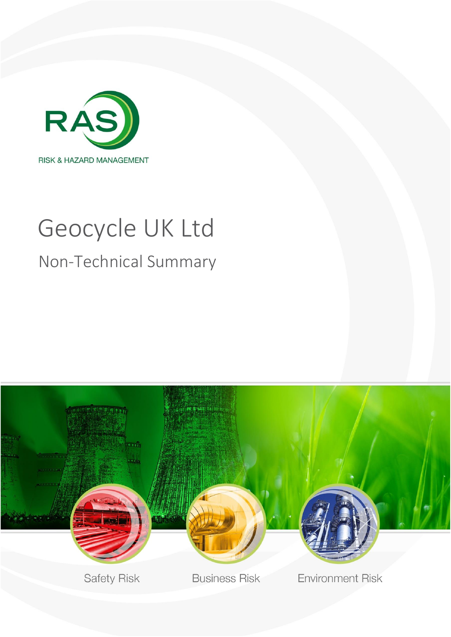

# Geocycle UK Ltd Non-Technical Summary

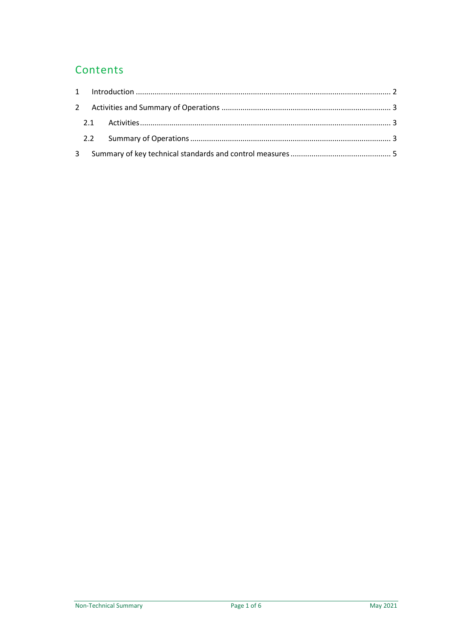### Contents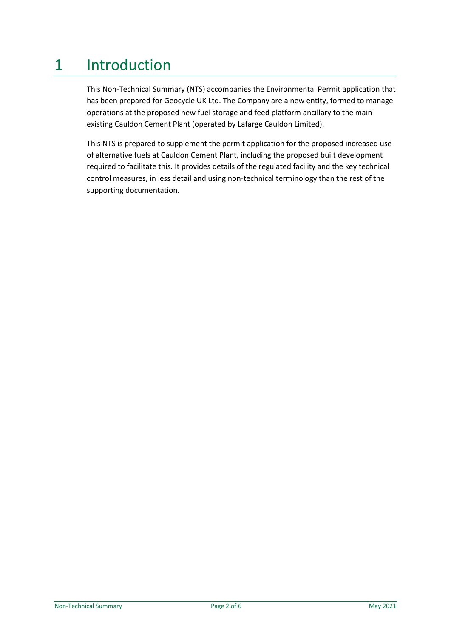## <span id="page-2-0"></span>1 Introduction

This Non-Technical Summary (NTS) accompanies the Environmental Permit application that has been prepared for Geocycle UK Ltd. The Company are a new entity, formed to manage operations at the proposed new fuel storage and feed platform ancillary to the main existing Cauldon Cement Plant (operated by Lafarge Cauldon Limited).

This NTS is prepared to supplement the permit application for the proposed increased use of alternative fuels at Cauldon Cement Plant, including the proposed built development required to facilitate this. It provides details of the regulated facility and the key technical control measures, in less detail and using non-technical terminology than the rest of the supporting documentation.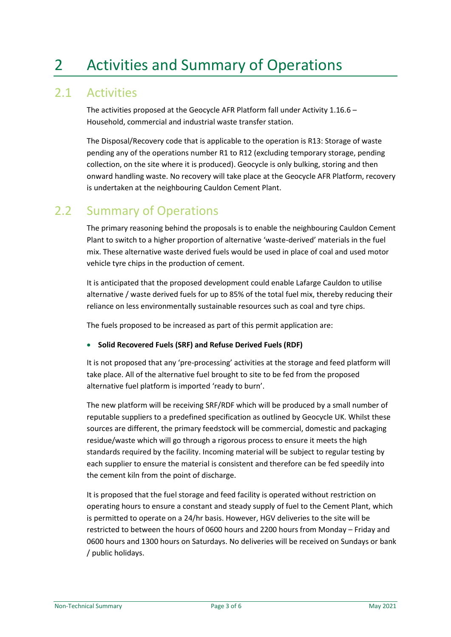## <span id="page-3-0"></span>2 Activities and Summary of Operations

#### <span id="page-3-1"></span>2.1 Activities

The activities proposed at the Geocycle AFR Platform fall under Activity 1.16.6 – Household, commercial and industrial waste transfer station.

The Disposal/Recovery code that is applicable to the operation is R13: Storage of waste pending any of the operations number R1 to R12 (excluding temporary storage, pending collection, on the site where it is produced). Geocycle is only bulking, storing and then onward handling waste. No recovery will take place at the Geocycle AFR Platform, recovery is undertaken at the neighbouring Cauldon Cement Plant.

#### <span id="page-3-2"></span>2.2 Summary of Operations

The primary reasoning behind the proposals is to enable the neighbouring Cauldon Cement Plant to switch to a higher proportion of alternative 'waste-derived' materials in the fuel mix. These alternative waste derived fuels would be used in place of coal and used motor vehicle tyre chips in the production of cement.

It is anticipated that the proposed development could enable Lafarge Cauldon to utilise alternative / waste derived fuels for up to 85% of the total fuel mix, thereby reducing their reliance on less environmentally sustainable resources such as coal and tyre chips.

The fuels proposed to be increased as part of this permit application are:

#### • **Solid Recovered Fuels (SRF) and Refuse Derived Fuels (RDF)**

It is not proposed that any 'pre-processing' activities at the storage and feed platform will take place. All of the alternative fuel brought to site to be fed from the proposed alternative fuel platform is imported 'ready to burn'.

The new platform will be receiving SRF/RDF which will be produced by a small number of reputable suppliers to a predefined specification as outlined by Geocycle UK. Whilst these sources are different, the primary feedstock will be commercial, domestic and packaging residue/waste which will go through a rigorous process to ensure it meets the high standards required by the facility. Incoming material will be subject to regular testing by each supplier to ensure the material is consistent and therefore can be fed speedily into the cement kiln from the point of discharge.

It is proposed that the fuel storage and feed facility is operated without restriction on operating hours to ensure a constant and steady supply of fuel to the Cement Plant, which is permitted to operate on a 24/hr basis. However, HGV deliveries to the site will be restricted to between the hours of 0600 hours and 2200 hours from Monday – Friday and 0600 hours and 1300 hours on Saturdays. No deliveries will be received on Sundays or bank / public holidays.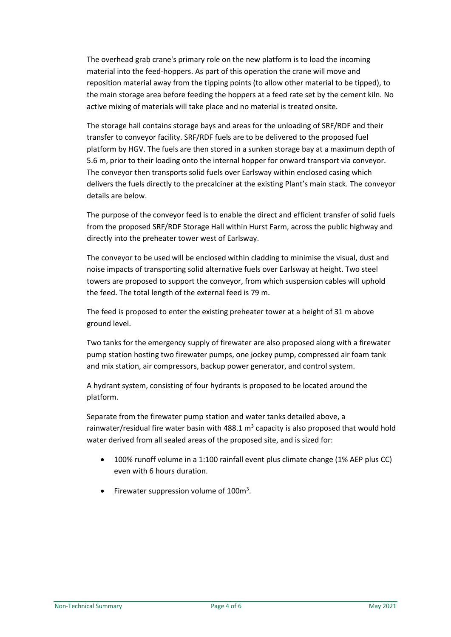The overhead grab crane's primary role on the new platform is to load the incoming material into the feed-hoppers. As part of this operation the crane will move and reposition material away from the tipping points (to allow other material to be tipped), to the main storage area before feeding the hoppers at a feed rate set by the cement kiln. No active mixing of materials will take place and no material is treated onsite.

The storage hall contains storage bays and areas for the unloading of SRF/RDF and their transfer to conveyor facility. SRF/RDF fuels are to be delivered to the proposed fuel platform by HGV. The fuels are then stored in a sunken storage bay at a maximum depth of 5.6 m, prior to their loading onto the internal hopper for onward transport via conveyor. The conveyor then transports solid fuels over Earlsway within enclosed casing which delivers the fuels directly to the precalciner at the existing Plant's main stack. The conveyor details are below.

The purpose of the conveyor feed is to enable the direct and efficient transfer of solid fuels from the proposed SRF/RDF Storage Hall within Hurst Farm, across the public highway and directly into the preheater tower west of Earlsway.

The conveyor to be used will be enclosed within cladding to minimise the visual, dust and noise impacts of transporting solid alternative fuels over Earlsway at height. Two steel towers are proposed to support the conveyor, from which suspension cables will uphold the feed. The total length of the external feed is 79 m.

The feed is proposed to enter the existing preheater tower at a height of 31 m above ground level.

Two tanks for the emergency supply of firewater are also proposed along with a firewater pump station hosting two firewater pumps, one jockey pump, compressed air foam tank and mix station, air compressors, backup power generator, and control system.

A hydrant system, consisting of four hydrants is proposed to be located around the platform.

Separate from the firewater pump station and water tanks detailed above, a rainwater/residual fire water basin with 488.1  $m<sup>3</sup>$  capacity is also proposed that would hold water derived from all sealed areas of the proposed site, and is sized for:

- 100% runoff volume in a 1:100 rainfall event plus climate change (1% AEP plus CC) even with 6 hours duration.
- Firewater suppression volume of 100m<sup>3</sup>.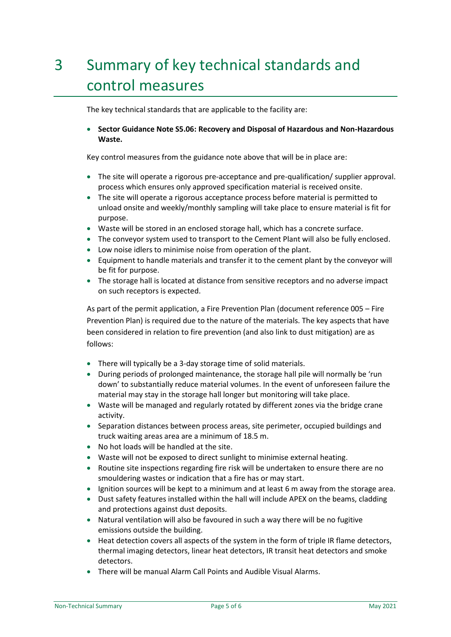## <span id="page-5-0"></span>3 Summary of key technical standards and control measures

The key technical standards that are applicable to the facility are:

• **Sector Guidance Note S5.06: Recovery and Disposal of Hazardous and Non-Hazardous Waste.**

Key control measures from the guidance note above that will be in place are:

- The site will operate a rigorous pre-acceptance and pre-qualification/ supplier approval. process which ensures only approved specification material is received onsite.
- The site will operate a rigorous acceptance process before material is permitted to unload onsite and weekly/monthly sampling will take place to ensure material is fit for purpose.
- Waste will be stored in an enclosed storage hall, which has a concrete surface.
- The conveyor system used to transport to the Cement Plant will also be fully enclosed.
- Low noise idlers to minimise noise from operation of the plant.
- Equipment to handle materials and transfer it to the cement plant by the conveyor will be fit for purpose.
- The storage hall is located at distance from sensitive receptors and no adverse impact on such receptors is expected.

As part of the permit application, a Fire Prevention Plan (document reference 005 – Fire Prevention Plan) is required due to the nature of the materials. The key aspects that have been considered in relation to fire prevention (and also link to dust mitigation) are as follows:

- There will typically be a 3-day storage time of solid materials.
- During periods of prolonged maintenance, the storage hall pile will normally be 'run down' to substantially reduce material volumes. In the event of unforeseen failure the material may stay in the storage hall longer but monitoring will take place.
- Waste will be managed and regularly rotated by different zones via the bridge crane activity.
- Separation distances between process areas, site perimeter, occupied buildings and truck waiting areas area are a minimum of 18.5 m.
- No hot loads will be handled at the site.
- Waste will not be exposed to direct sunlight to minimise external heating.
- Routine site inspections regarding fire risk will be undertaken to ensure there are no smouldering wastes or indication that a fire has or may start.
- Ignition sources will be kept to a minimum and at least 6 m away from the storage area.
- Dust safety features installed within the hall will include APEX on the beams, cladding and protections against dust deposits.
- Natural ventilation will also be favoured in such a way there will be no fugitive emissions outside the building.
- Heat detection covers all aspects of the system in the form of triple IR flame detectors, thermal imaging detectors, linear heat detectors, IR transit heat detectors and smoke detectors.
- There will be manual Alarm Call Points and Audible Visual Alarms.